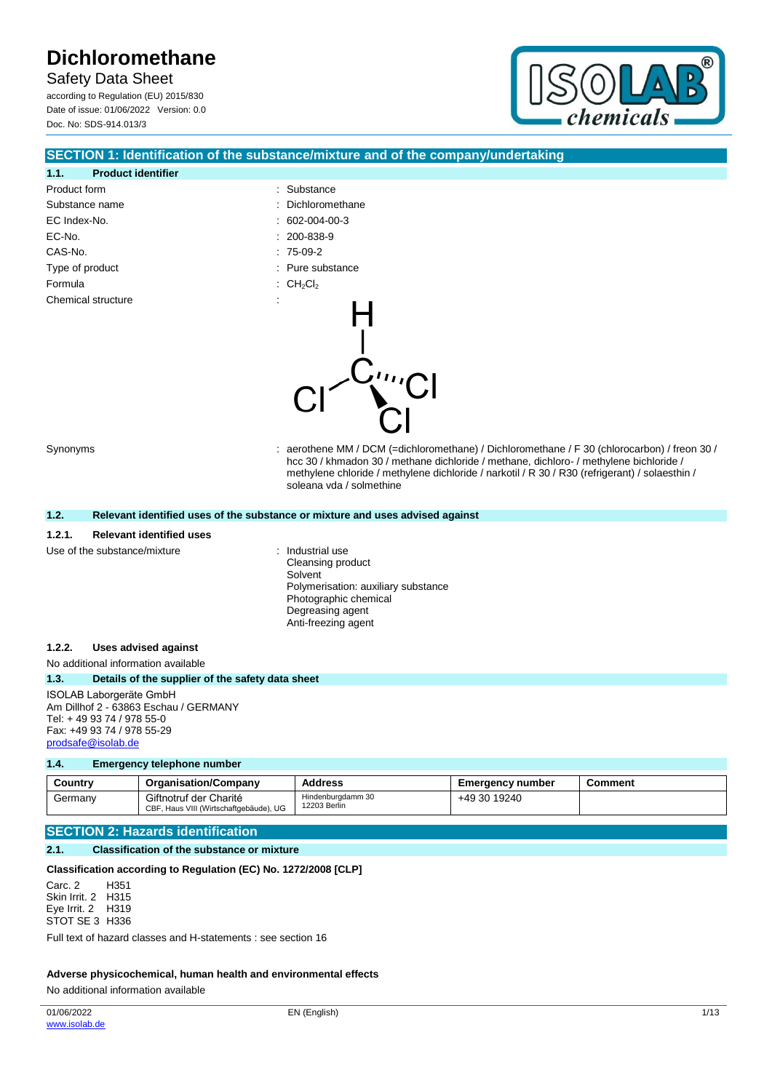Safety Data Sheet according to Regulation (EU) 2015/830 Date of issue: 01/06/2022 Version: 0.0 Doc. No: SDS-914.013/3



### **SECTION 1: Identification of the substance/mixture and of the company/undertaking**

| 1.1.            | <b>Product identifier</b>                        |                                                                                                                                                                                                                                                                                                                    |
|-----------------|--------------------------------------------------|--------------------------------------------------------------------------------------------------------------------------------------------------------------------------------------------------------------------------------------------------------------------------------------------------------------------|
| Product form    |                                                  | Substance                                                                                                                                                                                                                                                                                                          |
| Substance name  |                                                  | Dichloromethane<br>$\blacksquare$                                                                                                                                                                                                                                                                                  |
| EC Index-No.    |                                                  | 602-004-00-3                                                                                                                                                                                                                                                                                                       |
| EC-No.          |                                                  | 200-838-9                                                                                                                                                                                                                                                                                                          |
| CAS-No.         |                                                  | $: 75-09-2$                                                                                                                                                                                                                                                                                                        |
| Type of product |                                                  | Pure substance                                                                                                                                                                                                                                                                                                     |
| Formula         |                                                  | CH <sub>2</sub> Cl <sub>2</sub>                                                                                                                                                                                                                                                                                    |
|                 | Chemical structure                               | ""Cl                                                                                                                                                                                                                                                                                                               |
| Synonyms        |                                                  | aerothene MM / DCM (=dichloromethane) / Dichloromethane / F 30 (chlorocarbon) / freon 30 /<br>hcc 30 / khmadon 30 / methane dichloride / methane, dichloro- / methylene bichloride /<br>methylene chloride / methylene dichloride / narkotil / R 30 / R30 (refrigerant) / solaesthin /<br>soleana vda / solmethine |
| 1.2.            |                                                  | Relevant identified uses of the substance or mixture and uses advised against                                                                                                                                                                                                                                      |
| 1.2.1.          | <b>Relevant identified uses</b>                  |                                                                                                                                                                                                                                                                                                                    |
|                 | Use of the substance/mixture                     | Industrial use<br>Cleansing product<br>Solvent<br>Polymerisation: auxiliary substance<br>Photographic chemical<br>Degreasing agent<br>Anti-freezing agent                                                                                                                                                          |
| 1.2.2.          | <b>Uses advised against</b>                      |                                                                                                                                                                                                                                                                                                                    |
|                 | No additional information available              |                                                                                                                                                                                                                                                                                                                    |
| 1.3.            | Details of the supplier of the safety data sheet |                                                                                                                                                                                                                                                                                                                    |

ISOLAB Laborgeräte GmbH Am Dillhof 2 - 63863 Eschau / GERMANY Tel: + 49 93 74 / 978 55-0 Fax: +49 93 74 / 978 55-29 [prodsafe@isolab.de](mailto:prodsafe@isolab.de)

#### **1.4. Emergency telephone number**

| Countrv | <b>Organisation/Company</b>                                      | Address                           | Emergency number | Comment |
|---------|------------------------------------------------------------------|-----------------------------------|------------------|---------|
| Germany | Giftnotruf der Charité<br>CBF, Haus VIII (Wirtschaftgebäude), UG | Hindenburgdamm 30<br>12203 Berlin | +49 30 19240     |         |

## **SECTION 2: Hazards identification**

#### **2.1. Classification of the substance or mixture**

#### **Classification according to Regulation (EC) No. 1272/2008 [CLP]**

Carc. 2 Skin Irrit. 2 H315 Eye Irrit. 2 H319 STOT SE 3 H336 H351

Full text of hazard classes and H-statements : see section 16

#### **Adverse physicochemical, human health and environmental effects**

No additional information available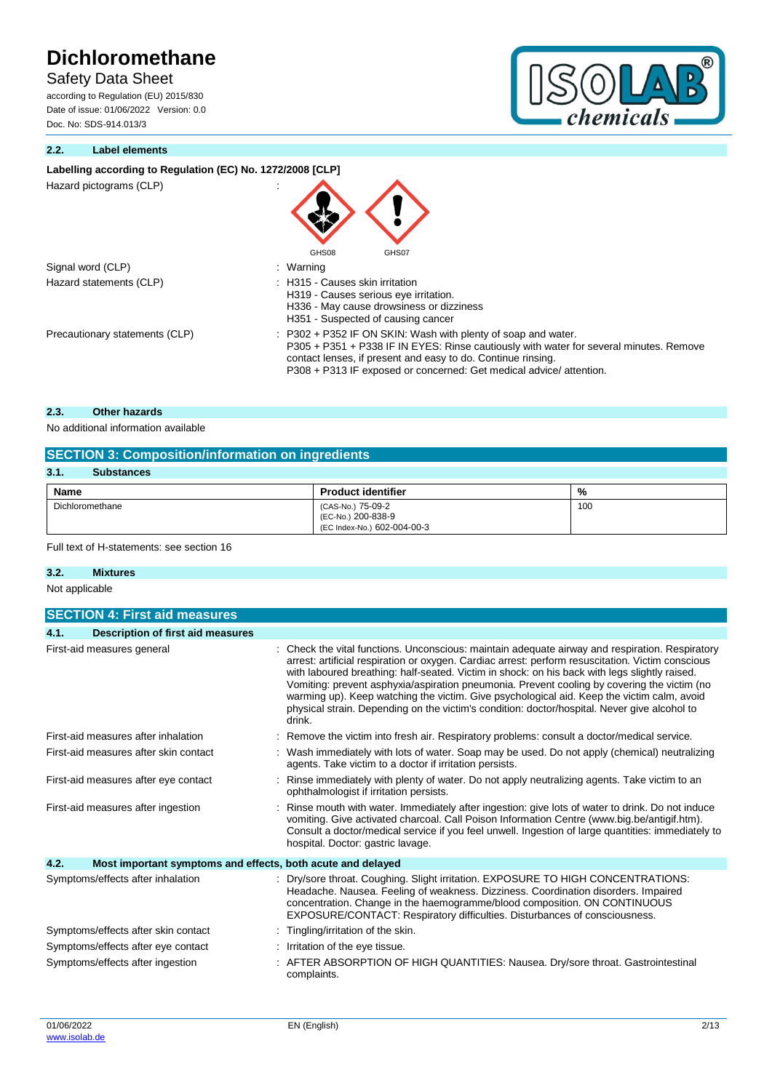Safety Data Sheet

according to Regulation (EU) 2015/830 Date of issue: 01/06/2022 Version: 0.0 Doc. No: SDS-914.013/3





# Labelling according to Regulation (EC) No. 1272/2008 [CLP]

| Hazard pictograms (CLP) |  |  |  |
|-------------------------|--|--|--|

| Signal word (CLP)       | : Warning  |
|-------------------------|------------|
| Hazard statements (CLP) | : H315 - C |
|                         | $H319 - C$ |

|                                | v                                                                                                                                                                                                                                  |
|--------------------------------|------------------------------------------------------------------------------------------------------------------------------------------------------------------------------------------------------------------------------------|
|                                | GHS08<br>GHS07                                                                                                                                                                                                                     |
| Signal word (CLP)              | : Warning                                                                                                                                                                                                                          |
| Hazard statements (CLP)        | : H315 - Causes skin irritation<br>H319 - Causes serious eye irritation.<br>H336 - May cause drowsiness or dizziness<br>H351 - Suspected of causing cancer                                                                         |
| Precautionary statements (CLP) | $\therefore$ P302 + P352 IF ON SKIN: Wash with plenty of soap and water.<br>P305 + P351 + P338 IF IN EYES: Rinse cautiously with water for several minutes. Remove<br>contact lenses, if present and easy to do. Continue rinsing. |

P308 + P313 IF exposed or concerned: Get medical advice/ attention.

### **2.3. Other hazards**

No additional information available

# **SECTION 3: Composition/information on ingredients**

| 3.1.<br><b>Substances</b> |                                                                        |     |
|---------------------------|------------------------------------------------------------------------|-----|
| Name                      | <b>Product identifier</b>                                              | %   |
| Dichloromethane           | (CAS-No.) 75-09-2<br>(EC-No.) 200-838-9<br>(EC Index-No.) 602-004-00-3 | 100 |

## Full text of H-statements: see section 16

## **3.2. Mixtures**

Not applicable

| <b>SECTION 4: First aid measures</b>                                |                                                                                                                                                                                                                                                                                                                                                                                                                                                                                                                                                                                                            |  |  |  |  |
|---------------------------------------------------------------------|------------------------------------------------------------------------------------------------------------------------------------------------------------------------------------------------------------------------------------------------------------------------------------------------------------------------------------------------------------------------------------------------------------------------------------------------------------------------------------------------------------------------------------------------------------------------------------------------------------|--|--|--|--|
| <b>Description of first aid measures</b><br>4.1.                    |                                                                                                                                                                                                                                                                                                                                                                                                                                                                                                                                                                                                            |  |  |  |  |
| First-aid measures general                                          | Check the vital functions. Unconscious: maintain adequate airway and respiration. Respiratory<br>arrest: artificial respiration or oxygen. Cardiac arrest: perform resuscitation. Victim conscious<br>with laboured breathing: half-seated. Victim in shock: on his back with legs slightly raised.<br>Vomiting: prevent asphyxia/aspiration pneumonia. Prevent cooling by covering the victim (no<br>warming up). Keep watching the victim. Give psychological aid. Keep the victim calm, avoid<br>physical strain. Depending on the victim's condition: doctor/hospital. Never give alcohol to<br>drink. |  |  |  |  |
| First-aid measures after inhalation                                 | Remove the victim into fresh air. Respiratory problems: consult a doctor/medical service.                                                                                                                                                                                                                                                                                                                                                                                                                                                                                                                  |  |  |  |  |
| First-aid measures after skin contact                               | Wash immediately with lots of water. Soap may be used. Do not apply (chemical) neutralizing<br>agents. Take victim to a doctor if irritation persists.                                                                                                                                                                                                                                                                                                                                                                                                                                                     |  |  |  |  |
| First-aid measures after eye contact                                | Rinse immediately with plenty of water. Do not apply neutralizing agents. Take victim to an<br>ophthalmologist if irritation persists.                                                                                                                                                                                                                                                                                                                                                                                                                                                                     |  |  |  |  |
| First-aid measures after ingestion                                  | Rinse mouth with water. Immediately after ingestion: give lots of water to drink. Do not induce<br>vomiting. Give activated charcoal. Call Poison Information Centre (www.big.be/antigif.htm).<br>Consult a doctor/medical service if you feel unwell. Ingestion of large quantities: immediately to<br>hospital. Doctor: gastric lavage.                                                                                                                                                                                                                                                                  |  |  |  |  |
| 4.2.<br>Most important symptoms and effects, both acute and delayed |                                                                                                                                                                                                                                                                                                                                                                                                                                                                                                                                                                                                            |  |  |  |  |
| Symptoms/effects after inhalation                                   | Dry/sore throat. Coughing. Slight irritation. EXPOSURE TO HIGH CONCENTRATIONS:<br>Headache. Nausea. Feeling of weakness. Dizziness. Coordination disorders. Impaired<br>concentration. Change in the haemogramme/blood composition. ON CONTINUOUS<br>EXPOSURE/CONTACT: Respiratory difficulties. Disturbances of consciousness.                                                                                                                                                                                                                                                                            |  |  |  |  |
| Symptoms/effects after skin contact                                 | Tingling/irritation of the skin.                                                                                                                                                                                                                                                                                                                                                                                                                                                                                                                                                                           |  |  |  |  |
| Symptoms/effects after eye contact                                  | Irritation of the eye tissue.                                                                                                                                                                                                                                                                                                                                                                                                                                                                                                                                                                              |  |  |  |  |
| Symptoms/effects after ingestion                                    | AFTER ABSORPTION OF HIGH QUANTITIES: Nausea. Dry/sore throat. Gastrointestinal<br>complaints.                                                                                                                                                                                                                                                                                                                                                                                                                                                                                                              |  |  |  |  |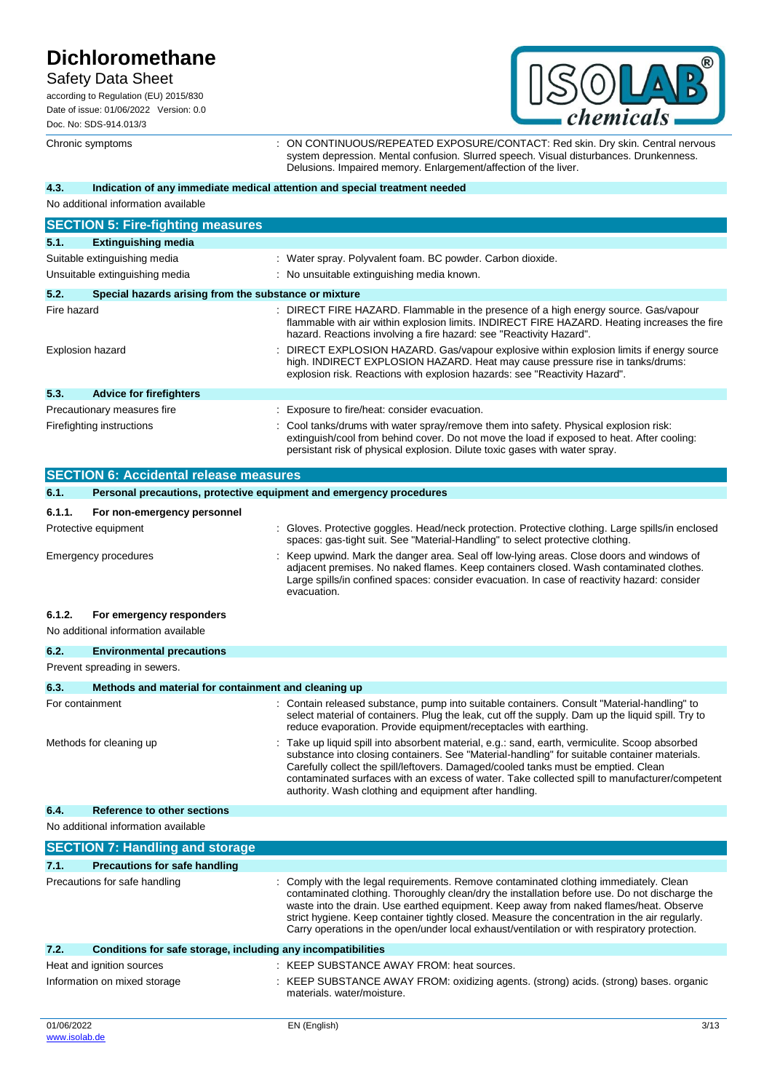# Safety Data Sheet

according to Regulation (EU) 2015/830 Date of issue: 01/06/2022 Version: 0.0 Doc. No: SDS-914.013/3



Chronic symptoms : ON CONTINUOUS/REPEATED EXPOSURE/CONTACT: Red skin. Dry skin. Central nervous system depression. Mental confusion. Slurred speech. Visual disturbances. Drunkenness. Delusions. Impaired memory. Enlargement/affection of the liver.

### **4.3. Indication of any immediate medical attention and special treatment needed**

No additional information available

|                         | <b>SECTION 5: Fire-fighting measures</b>                            |                                                                                                                                                                                                                                                                    |
|-------------------------|---------------------------------------------------------------------|--------------------------------------------------------------------------------------------------------------------------------------------------------------------------------------------------------------------------------------------------------------------|
| 5.1.                    | <b>Extinguishing media</b>                                          |                                                                                                                                                                                                                                                                    |
|                         | Suitable extinguishing media                                        | : Water spray. Polyvalent foam. BC powder. Carbon dioxide.                                                                                                                                                                                                         |
|                         | Unsuitable extinguishing media                                      | : No unsuitable extinguishing media known.                                                                                                                                                                                                                         |
| 5.2.                    | Special hazards arising from the substance or mixture               |                                                                                                                                                                                                                                                                    |
| Fire hazard             |                                                                     | : DIRECT FIRE HAZARD. Flammable in the presence of a high energy source. Gas/vapour<br>flammable with air within explosion limits. INDIRECT FIRE HAZARD. Heating increases the fire<br>hazard. Reactions involving a fire hazard: see "Reactivity Hazard".         |
| <b>Explosion hazard</b> |                                                                     | : DIRECT EXPLOSION HAZARD. Gas/vapour explosive within explosion limits if energy source<br>high. INDIRECT EXPLOSION HAZARD. Heat may cause pressure rise in tanks/drums:<br>explosion risk. Reactions with explosion hazards: see "Reactivity Hazard".            |
| 5.3.                    | <b>Advice for firefighters</b>                                      |                                                                                                                                                                                                                                                                    |
|                         | Precautionary measures fire                                         | Exposure to fire/heat: consider evacuation.                                                                                                                                                                                                                        |
|                         | Firefighting instructions                                           | : Cool tanks/drums with water spray/remove them into safety. Physical explosion risk:<br>extinguish/cool from behind cover. Do not move the load if exposed to heat. After cooling:<br>persistant risk of physical explosion. Dilute toxic gases with water spray. |
|                         | <b>SECTION 6: Accidental release measures</b>                       |                                                                                                                                                                                                                                                                    |
| 6.1.                    | Personal precautions, protective equipment and emergency procedures |                                                                                                                                                                                                                                                                    |

### **6.1.1. For non-emergency personnel**

| Protective equipment | : Gloves. Protective goggles. Head/neck protection. Protective clothing. Large spills/in enclosed<br>spaces: gas-tight suit. See "Material-Handling" to select protective clothing.                                                                                                              |
|----------------------|--------------------------------------------------------------------------------------------------------------------------------------------------------------------------------------------------------------------------------------------------------------------------------------------------|
| Emergency procedures | Keep upwind. Mark the danger area. Seal off low-lying areas. Close doors and windows of<br>adjacent premises. No naked flames. Keep containers closed. Wash contaminated clothes.<br>Large spills/in confined spaces: consider evacuation. In case of reactivity hazard: consider<br>evacuation. |

#### **6.1.2. For emergency responders** No additional information available

| 6.2.            | <b>Environmental precautions</b>                     |  |                                                                                                                                                                                                                                                                                                                                                                                                                                                 |  |  |
|-----------------|------------------------------------------------------|--|-------------------------------------------------------------------------------------------------------------------------------------------------------------------------------------------------------------------------------------------------------------------------------------------------------------------------------------------------------------------------------------------------------------------------------------------------|--|--|
|                 | Prevent spreading in sewers.                         |  |                                                                                                                                                                                                                                                                                                                                                                                                                                                 |  |  |
| 6.3.            | Methods and material for containment and cleaning up |  |                                                                                                                                                                                                                                                                                                                                                                                                                                                 |  |  |
| For containment |                                                      |  | : Contain released substance, pump into suitable containers. Consult "Material-handling" to<br>select material of containers. Plug the leak, cut off the supply. Dam up the liquid spill. Try to<br>reduce evaporation. Provide equipment/receptacles with earthing.                                                                                                                                                                            |  |  |
|                 | Methods for cleaning up                              |  | : Take up liquid spill into absorbent material, e.g.: sand, earth, vermiculite. Scoop absorbed<br>substance into closing containers. See "Material-handling" for suitable container materials.<br>Carefully collect the spill/leftovers. Damaged/cooled tanks must be emptied. Clean<br>contaminated surfaces with an excess of water. Take collected spill to manufacturer/competent<br>authority. Wash clothing and equipment after handling. |  |  |

#### **6.4. Reference to other sections**

No additional information available

| <b>SECTION 7: Handling and storage</b> |                                                              |                                                                                                                                                                                                                                                                                                                                                                                                                                                                                    |      |  |  |
|----------------------------------------|--------------------------------------------------------------|------------------------------------------------------------------------------------------------------------------------------------------------------------------------------------------------------------------------------------------------------------------------------------------------------------------------------------------------------------------------------------------------------------------------------------------------------------------------------------|------|--|--|
| 7.1.                                   | <b>Precautions for safe handling</b>                         |                                                                                                                                                                                                                                                                                                                                                                                                                                                                                    |      |  |  |
| Precautions for safe handling          |                                                              | : Comply with the legal requirements. Remove contaminated clothing immediately. Clean<br>contaminated clothing. Thoroughly clean/dry the installation before use. Do not discharge the<br>waste into the drain. Use earthed equipment. Keep away from naked flames/heat. Observe<br>strict hygiene. Keep container tightly closed. Measure the concentration in the air regularly.<br>Carry operations in the open/under local exhaust/ventilation or with respiratory protection. |      |  |  |
| 7.2.                                   | Conditions for safe storage, including any incompatibilities |                                                                                                                                                                                                                                                                                                                                                                                                                                                                                    |      |  |  |
| Heat and ignition sources              |                                                              | : KEEP SUBSTANCE AWAY FROM: heat sources.                                                                                                                                                                                                                                                                                                                                                                                                                                          |      |  |  |
| Information on mixed storage           |                                                              | : KEEP SUBSTANCE AWAY FROM: oxidizing agents. (strong) acids. (strong) bases. organic<br>materials, water/moisture.                                                                                                                                                                                                                                                                                                                                                                |      |  |  |
| 01/06/2022                             |                                                              | EN (English)                                                                                                                                                                                                                                                                                                                                                                                                                                                                       | 3/13 |  |  |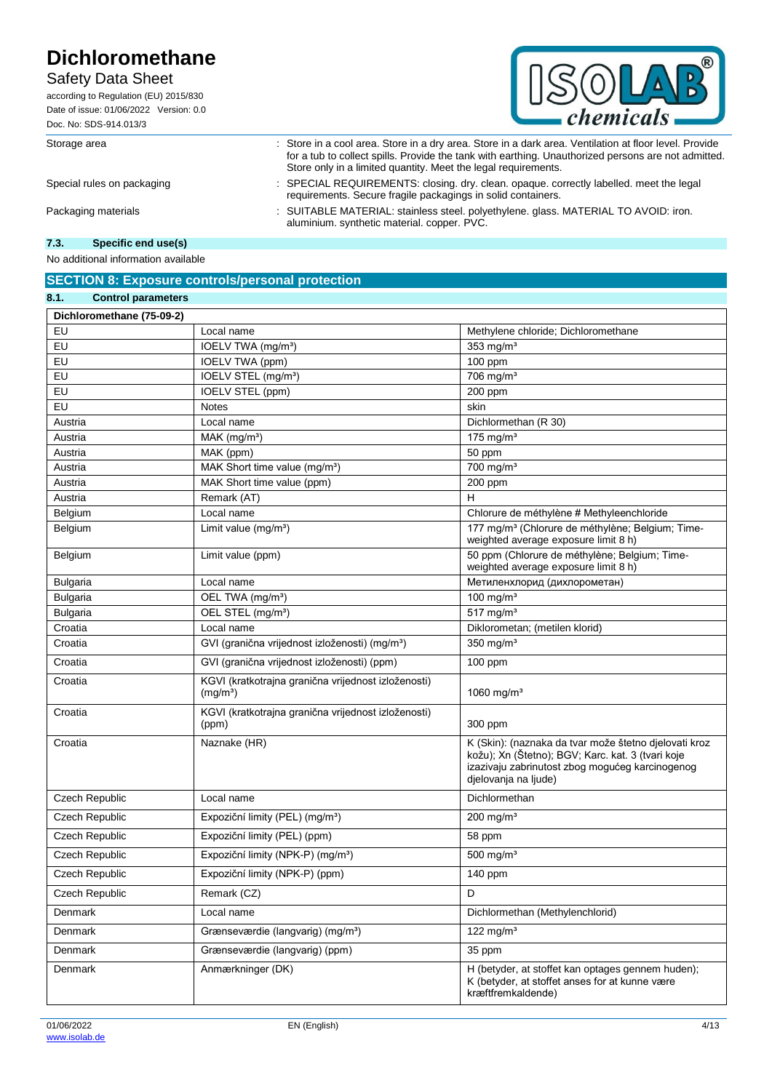# Safety Data Sheet

according to Regulation (EU) 2015/830 Date of issue: 01/06/2022 Version: 0.0 Doc. No: SDS-914.013/3



Storage area : Store in a cool area. Store in a dry area. Store in a dark area. Ventilation at floor level. Provide

Store only in a limited quantity. Meet the legal requirements. Special rules on packaging : SPECIAL REQUIREMENTS: closing. dry. clean. opaque. correctly labelled. meet the legal requirements. Secure fragile packagings in solid containers.

for a tub to collect spills. Provide the tank with earthing. Unauthorized persons are not admitted.

Packaging materials : SUITABLE MATERIAL: stainless steel. polyethylene. glass. MATERIAL TO AVOID: iron. aluminium. synthetic material. copper. PVC.

### **7.3. Specific end use(s)**

**8.1. Control parameters**

No additional information available

## **SECTION 8: Exposure controls/personal protection**

| υ.<br><b>UUITUU DALAILIGIGI S</b> |                                                                             |                                                                                                                                                                                       |
|-----------------------------------|-----------------------------------------------------------------------------|---------------------------------------------------------------------------------------------------------------------------------------------------------------------------------------|
| Dichloromethane (75-09-2)         |                                                                             |                                                                                                                                                                                       |
| EU                                | Local name                                                                  | Methylene chloride; Dichloromethane                                                                                                                                                   |
| EU                                | IOELV TWA (mg/m <sup>3</sup> )                                              | 353 mg/ $m3$                                                                                                                                                                          |
| EU                                | IOELV TWA (ppm)                                                             | 100 ppm                                                                                                                                                                               |
| EU                                | IOELV STEL (mg/m <sup>3</sup> )                                             | 706 mg/m <sup>3</sup>                                                                                                                                                                 |
| EU                                | IOELV STEL (ppm)                                                            | 200 ppm                                                                                                                                                                               |
| EU                                | <b>Notes</b>                                                                | skin                                                                                                                                                                                  |
| Austria                           | Local name                                                                  | Dichlormethan (R 30)                                                                                                                                                                  |
| Austria                           | MAK (mg/m <sup>3</sup> )                                                    | 175 mg/m $3$                                                                                                                                                                          |
| Austria                           | MAK (ppm)                                                                   | 50 ppm                                                                                                                                                                                |
| Austria                           | MAK Short time value (mg/m <sup>3</sup> )                                   | 700 mg/m <sup>3</sup>                                                                                                                                                                 |
| Austria                           | MAK Short time value (ppm)                                                  | 200 ppm                                                                                                                                                                               |
| Austria                           | Remark (AT)                                                                 | H                                                                                                                                                                                     |
| Belgium                           | Local name                                                                  | Chlorure de méthylène # Methyleenchloride                                                                                                                                             |
| Belgium                           | Limit value (mg/m <sup>3</sup> )                                            | 177 mg/m <sup>3</sup> (Chlorure de méthylène; Belgium; Time-<br>weighted average exposure limit 8 h)                                                                                  |
| Belgium                           | Limit value (ppm)                                                           | 50 ppm (Chlorure de méthylène; Belgium; Time-<br>weighted average exposure limit 8 h)                                                                                                 |
| <b>Bulgaria</b>                   | Local name                                                                  | Метиленхлорид (дихлорометан)                                                                                                                                                          |
| <b>Bulgaria</b>                   | OEL TWA (mg/m <sup>3</sup> )                                                | 100 mg/m <sup>3</sup>                                                                                                                                                                 |
| <b>Bulgaria</b>                   | OEL STEL (mg/m <sup>3</sup> )                                               | $517$ mg/m <sup>3</sup>                                                                                                                                                               |
| Croatia                           | Local name                                                                  | Diklorometan; (metilen klorid)                                                                                                                                                        |
| Croatia                           | GVI (granična vrijednost izloženosti) (mg/m <sup>3</sup> )                  | 350 mg/ $m3$                                                                                                                                                                          |
| Croatia                           | GVI (granična vrijednost izloženosti) (ppm)                                 | $100$ ppm                                                                                                                                                                             |
| Croatia                           | KGVI (kratkotrajna granična vrijednost izloženosti)<br>(mg/m <sup>3</sup> ) | 1060 mg/m <sup>3</sup>                                                                                                                                                                |
| Croatia                           | KGVI (kratkotrajna granična vrijednost izloženosti)<br>(ppm)                | 300 ppm                                                                                                                                                                               |
| Croatia                           | Naznake (HR)                                                                | K (Skin): (naznaka da tvar može štetno djelovati kroz<br>kožu); Xn (Štetno); BGV; Karc. kat. 3 (tvari koje<br>izazivaju zabrinutost zbog mogućeg karcinogenog<br>djelovanja na ljude) |
| Czech Republic                    | Local name                                                                  | Dichlormethan                                                                                                                                                                         |
| Czech Republic                    | Expoziční limity (PEL) (mg/m <sup>3</sup> )                                 | $200$ mg/m <sup>3</sup>                                                                                                                                                               |
| <b>Czech Republic</b>             | Expoziční limity (PEL) (ppm)                                                | 58 ppm                                                                                                                                                                                |
| Czech Republic                    | Expoziční limity (NPK-P) (mg/m <sup>3</sup> )                               | 500 mg/ $m3$                                                                                                                                                                          |
| Czech Republic                    | Expoziční limity (NPK-P) (ppm)                                              | 140 ppm                                                                                                                                                                               |
| Czech Republic                    | Remark (CZ)                                                                 | D                                                                                                                                                                                     |
| Denmark                           | Local name                                                                  | Dichlormethan (Methylenchlorid)                                                                                                                                                       |
| Denmark                           | Grænseværdie (langvarig) (mg/m <sup>3</sup> )                               | 122 mg/ $m3$                                                                                                                                                                          |
| <b>Denmark</b>                    | Grænseværdie (langvarig) (ppm)                                              | 35 ppm                                                                                                                                                                                |
| Denmark                           | Anmærkninger (DK)                                                           | H (betyder, at stoffet kan optages gennem huden);<br>K (betyder, at stoffet anses for at kunne være<br>kræftfremkaldende)                                                             |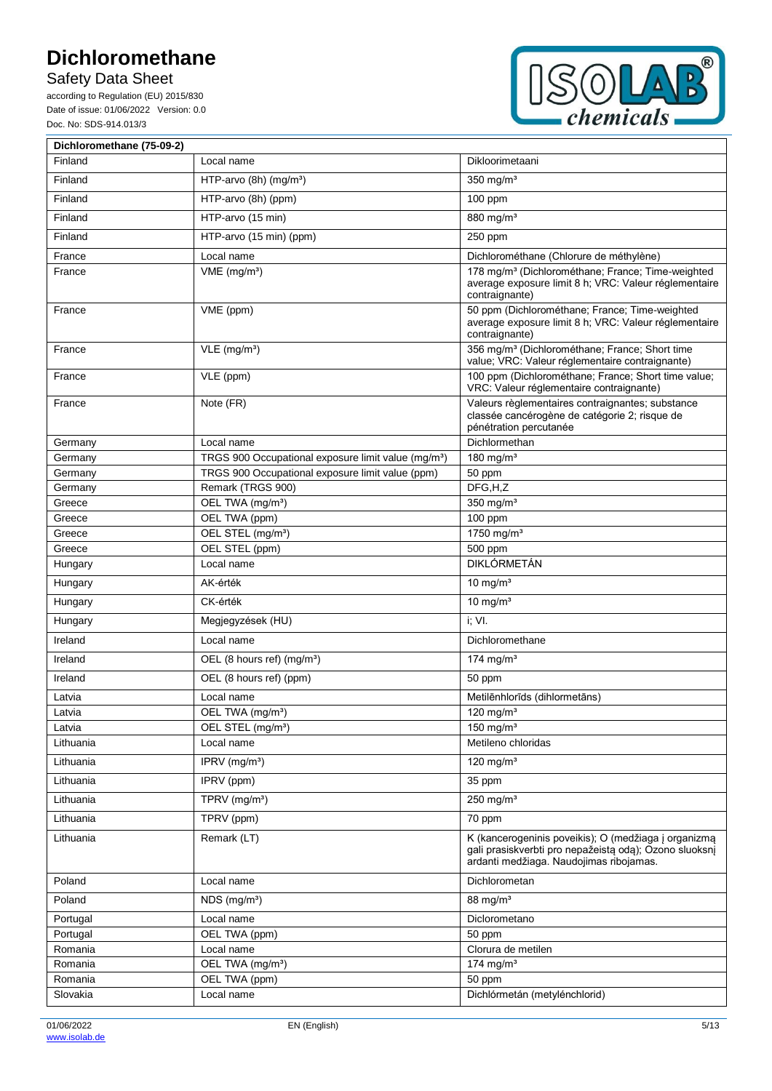Safety Data Sheet

according to Regulation (EU) 2015/830 Date of issue: 01/06/2022 Version: 0.0 Doc. No: SDS-914.013/3



| Dichloromethane (75-09-2) |                                                                 |                                                                                                                                                           |
|---------------------------|-----------------------------------------------------------------|-----------------------------------------------------------------------------------------------------------------------------------------------------------|
| Finland                   | Local name                                                      | Dikloorimetaani                                                                                                                                           |
| Finland                   | HTP-arvo $(8h)$ (mg/m <sup>3</sup> )                            | $350$ mg/m <sup>3</sup>                                                                                                                                   |
| Finland                   | HTP-arvo (8h) (ppm)                                             | 100 ppm                                                                                                                                                   |
| Finland                   | HTP-arvo (15 min)                                               | 880 mg/m <sup>3</sup>                                                                                                                                     |
| Finland                   | HTP-arvo (15 min) (ppm)                                         | 250 ppm                                                                                                                                                   |
| France                    | Local name                                                      | Dichlorométhane (Chlorure de méthylène)                                                                                                                   |
| France                    | $VME$ (mg/m <sup>3</sup> )                                      | 178 mg/m <sup>3</sup> (Dichlorométhane; France; Time-weighted<br>average exposure limit 8 h; VRC: Valeur réglementaire<br>contraignante)                  |
| France                    | VME (ppm)                                                       | 50 ppm (Dichlorométhane; France; Time-weighted<br>average exposure limit 8 h; VRC: Valeur réglementaire<br>contraignante)                                 |
| France                    | $VLE$ (mg/m <sup>3</sup> )                                      | 356 mg/m <sup>3</sup> (Dichlorométhane; France; Short time<br>value; VRC: Valeur réglementaire contraignante)                                             |
| France                    | VLE (ppm)                                                       | 100 ppm (Dichlorométhane; France; Short time value;<br>VRC: Valeur réglementaire contraignante)                                                           |
| France                    | Note (FR)                                                       | Valeurs règlementaires contraignantes; substance<br>classée cancérogène de catégorie 2; risque de<br>pénétration percutanée                               |
| Germany                   | Local name                                                      | Dichlormethan                                                                                                                                             |
| Germany                   | TRGS 900 Occupational exposure limit value (mq/m <sup>3</sup> ) | 180 mg/m <sup>3</sup>                                                                                                                                     |
| Germany                   | TRGS 900 Occupational exposure limit value (ppm)                | 50 ppm                                                                                                                                                    |
| Germany                   | Remark (TRGS 900)                                               | DFG,H,Z                                                                                                                                                   |
| Greece                    | OEL TWA (mg/m <sup>3</sup> )                                    | 350 mg/m <sup>3</sup>                                                                                                                                     |
| Greece                    | OEL TWA (ppm)                                                   | $100$ ppm                                                                                                                                                 |
| Greece                    | OEL STEL (mg/m <sup>3</sup> )                                   | 1750 mg/m <sup>3</sup>                                                                                                                                    |
| Greece<br>Hungary         | OEL STEL (ppm)<br>Local name                                    | 500 ppm<br><b>DIKLÓRMETÁN</b>                                                                                                                             |
|                           |                                                                 |                                                                                                                                                           |
| Hungary                   | AK-érték<br>CK-érték                                            | $\frac{1}{10}$ mg/m <sup>3</sup>                                                                                                                          |
| Hungary                   |                                                                 | 10 mg/ $m3$                                                                                                                                               |
| Hungary                   | Megjegyzések (HU)                                               | i; VI.                                                                                                                                                    |
| Ireland                   | Local name                                                      | Dichloromethane                                                                                                                                           |
| Ireland                   | OEL (8 hours ref) (mg/m <sup>3</sup> )                          | 174 mg/m $3$                                                                                                                                              |
| Ireland                   | OEL (8 hours ref) (ppm)                                         | 50 ppm                                                                                                                                                    |
| Latvia                    | Local name                                                      | Metilēnhlorīds (dihlormetāns)                                                                                                                             |
| Latvia                    | OEL TWA (mg/m <sup>3</sup> )                                    | 120 mg/m $3$                                                                                                                                              |
| Latvia                    | OEL STEL (mg/m <sup>3</sup> )                                   | 150 mg/m $3$                                                                                                                                              |
| Lithuania                 | Local name                                                      | Metileno chloridas                                                                                                                                        |
| Lithuania                 | IPRV (mg/m <sup>3</sup> )                                       | 120 mg/ $m3$                                                                                                                                              |
| Lithuania                 | IPRV (ppm)                                                      | 35 ppm                                                                                                                                                    |
| Lithuania                 | TPRV (mg/m <sup>3</sup> )                                       | 250 mg/m $3$                                                                                                                                              |
| Lithuania                 | TPRV (ppm)                                                      | 70 ppm                                                                                                                                                    |
| Lithuania                 | Remark (LT)                                                     | K (kancerogeninis poveikis); O (medžiaga į organizmą<br>gali prasiskverbti pro nepažeistą odą); Ozono sluoksnį<br>ardanti medžiaga. Naudojimas ribojamas. |
| Poland                    | Local name                                                      | Dichlorometan                                                                                                                                             |
| Poland                    | NDS (mg/m <sup>3</sup> )                                        | 88 mg/ $m3$                                                                                                                                               |
| Portugal                  | Local name                                                      | Diclorometano                                                                                                                                             |
| Portugal                  | OEL TWA (ppm)                                                   | 50 ppm                                                                                                                                                    |
| Romania                   | Local name                                                      | Clorura de metilen                                                                                                                                        |
| Romania                   | OEL TWA (mg/m <sup>3</sup> )                                    | 174 mg/m $3$                                                                                                                                              |
| Romania                   | OEL TWA (ppm)                                                   | 50 ppm                                                                                                                                                    |
| Slovakia                  | Local name                                                      | Dichlórmetán (metylénchlorid)                                                                                                                             |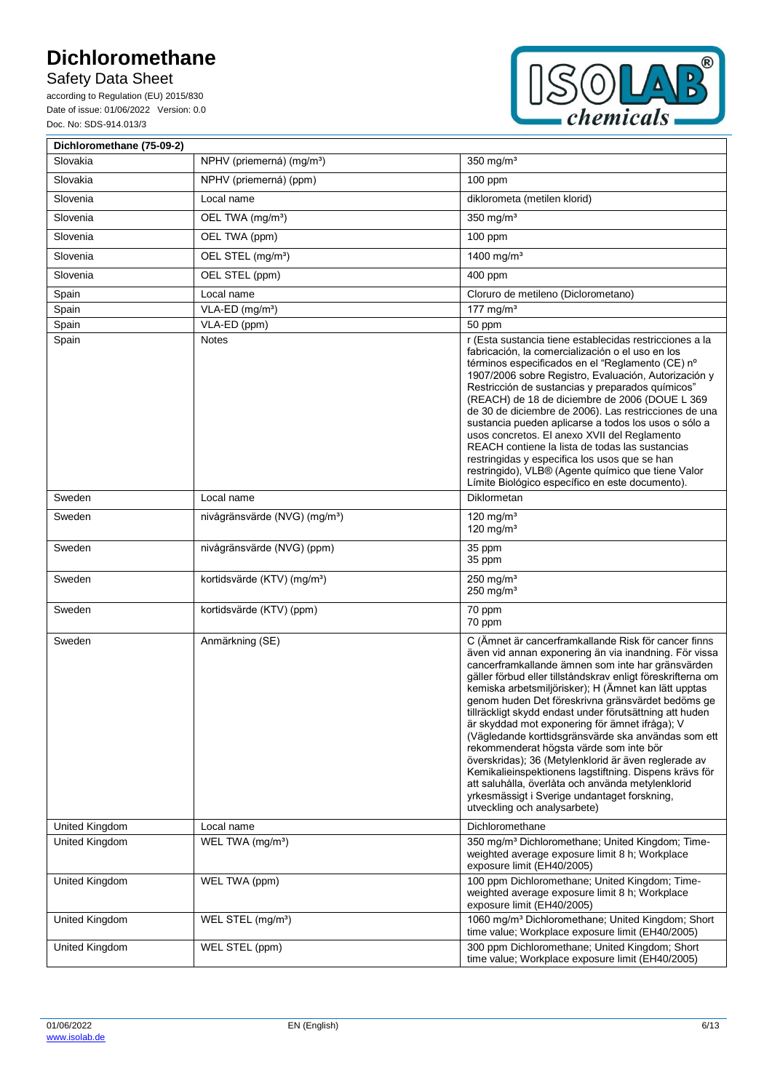Safety Data Sheet

according to Regulation (EU) 2015/830 Date of issue: 01/06/2022 Version: 0.0 Doc. No: SDS-914.013/3



| Dichloromethane (75-09-2) |                                           |                                                                                                                                                                                                                                                                                                                                                                                                                                                                                                                                                                                                                                                                                                                                                                                                                      |
|---------------------------|-------------------------------------------|----------------------------------------------------------------------------------------------------------------------------------------------------------------------------------------------------------------------------------------------------------------------------------------------------------------------------------------------------------------------------------------------------------------------------------------------------------------------------------------------------------------------------------------------------------------------------------------------------------------------------------------------------------------------------------------------------------------------------------------------------------------------------------------------------------------------|
| Slovakia                  | NPHV (priemerná) (mg/m <sup>3</sup> )     | 350 mg/ $m3$                                                                                                                                                                                                                                                                                                                                                                                                                                                                                                                                                                                                                                                                                                                                                                                                         |
| Slovakia                  | NPHV (priemerná) (ppm)                    | $100$ ppm                                                                                                                                                                                                                                                                                                                                                                                                                                                                                                                                                                                                                                                                                                                                                                                                            |
| Slovenia                  | Local name                                | diklorometa (metilen klorid)                                                                                                                                                                                                                                                                                                                                                                                                                                                                                                                                                                                                                                                                                                                                                                                         |
| Slovenia                  | OEL TWA (mg/m <sup>3</sup> )              | 350 mg/ $m3$                                                                                                                                                                                                                                                                                                                                                                                                                                                                                                                                                                                                                                                                                                                                                                                                         |
| Slovenia                  | OEL TWA (ppm)                             | 100 ppm                                                                                                                                                                                                                                                                                                                                                                                                                                                                                                                                                                                                                                                                                                                                                                                                              |
| Slovenia                  | OEL STEL (mg/m <sup>3</sup> )             | 1400 mg/ $m^3$                                                                                                                                                                                                                                                                                                                                                                                                                                                                                                                                                                                                                                                                                                                                                                                                       |
| Slovenia                  | OEL STEL (ppm)                            | 400 ppm                                                                                                                                                                                                                                                                                                                                                                                                                                                                                                                                                                                                                                                                                                                                                                                                              |
| Spain                     | Local name                                | Cloruro de metileno (Diclorometano)                                                                                                                                                                                                                                                                                                                                                                                                                                                                                                                                                                                                                                                                                                                                                                                  |
| Spain                     | VLA-ED (mg/m <sup>3</sup> )               | 177 mg/m <sup>3</sup>                                                                                                                                                                                                                                                                                                                                                                                                                                                                                                                                                                                                                                                                                                                                                                                                |
| Spain                     | VLA-ED (ppm)                              | 50 ppm                                                                                                                                                                                                                                                                                                                                                                                                                                                                                                                                                                                                                                                                                                                                                                                                               |
| Spain                     | <b>Notes</b>                              | r (Esta sustancia tiene establecidas restricciones a la<br>fabricación, la comercialización o el uso en los<br>términos especificados en el "Reglamento (CE) nº<br>1907/2006 sobre Registro, Evaluación, Autorización y<br>Restricción de sustancias y preparados químicos"<br>(REACH) de 18 de diciembre de 2006 (DOUE L 369<br>de 30 de diciembre de 2006). Las restricciones de una<br>sustancia pueden aplicarse a todos los usos o sólo a<br>usos concretos. El anexo XVII del Reglamento<br>REACH contiene la lista de todas las sustancias<br>restringidas y especifica los usos que se han<br>restringido), VLB® (Agente químico que tiene Valor<br>Límite Biológico específico en este documento).                                                                                                          |
| Sweden                    | Local name                                | Diklormetan                                                                                                                                                                                                                                                                                                                                                                                                                                                                                                                                                                                                                                                                                                                                                                                                          |
| Sweden                    | nivågränsvärde (NVG) (mg/m <sup>3</sup> ) | $120 \text{ ma/m}^3$<br>120 mg/m $3$                                                                                                                                                                                                                                                                                                                                                                                                                                                                                                                                                                                                                                                                                                                                                                                 |
| Sweden                    | nivågränsvärde (NVG) (ppm)                | 35 ppm<br>35 ppm                                                                                                                                                                                                                                                                                                                                                                                                                                                                                                                                                                                                                                                                                                                                                                                                     |
| Sweden                    | kortidsvärde (KTV) (mg/m <sup>3</sup> )   | $250$ mg/m <sup>3</sup><br>$250$ mg/m <sup>3</sup>                                                                                                                                                                                                                                                                                                                                                                                                                                                                                                                                                                                                                                                                                                                                                                   |
| Sweden                    | kortidsvärde (KTV) (ppm)                  | 70 ppm<br>70 ppm                                                                                                                                                                                                                                                                                                                                                                                                                                                                                                                                                                                                                                                                                                                                                                                                     |
| Sweden                    | Anmärkning (SE)                           | C (Ämnet är cancerframkallande Risk för cancer finns<br>även vid annan exponering än via inandning. För vissa<br>cancerframkallande ämnen som inte har gränsvärden<br>gäller förbud eller tillståndskrav enligt föreskrifterna om<br>kemiska arbetsmiljörisker); H (Ämnet kan lätt upptas<br>genom huden Det föreskrivna gränsvärdet bedöms ge<br>tillräckligt skydd endast under förutsättning att huden<br>är skyddad mot exponering för ämnet ifråga); V<br>(Vägledande korttidsgränsvärde ska användas som ett<br>rekommenderat högsta värde som inte bör<br>överskridas); 36 (Metylenklorid är även reglerade av<br>Kemikalieinspektionens lagstiftning. Dispens krävs för<br>att saluhålla, överlåta och använda metylenklorid<br>yrkesmässigt i Sverige undantaget forskning,<br>utveckling och analysarbete) |
| United Kingdom            | Local name                                | Dichloromethane                                                                                                                                                                                                                                                                                                                                                                                                                                                                                                                                                                                                                                                                                                                                                                                                      |
| United Kingdom            | WEL TWA (mg/m <sup>3</sup> )              | 350 mg/m <sup>3</sup> Dichloromethane; United Kingdom; Time-<br>weighted average exposure limit 8 h; Workplace<br>exposure limit (EH40/2005)                                                                                                                                                                                                                                                                                                                                                                                                                                                                                                                                                                                                                                                                         |
| United Kingdom            | WEL TWA (ppm)                             | 100 ppm Dichloromethane; United Kingdom; Time-<br>weighted average exposure limit 8 h; Workplace<br>exposure limit (EH40/2005)                                                                                                                                                                                                                                                                                                                                                                                                                                                                                                                                                                                                                                                                                       |
| United Kingdom            | WEL STEL (mg/m <sup>3</sup> )             | 1060 mg/m <sup>3</sup> Dichloromethane; United Kingdom; Short<br>time value; Workplace exposure limit (EH40/2005)                                                                                                                                                                                                                                                                                                                                                                                                                                                                                                                                                                                                                                                                                                    |
| United Kingdom            | WEL STEL (ppm)                            | 300 ppm Dichloromethane; United Kingdom; Short<br>time value; Workplace exposure limit (EH40/2005)                                                                                                                                                                                                                                                                                                                                                                                                                                                                                                                                                                                                                                                                                                                   |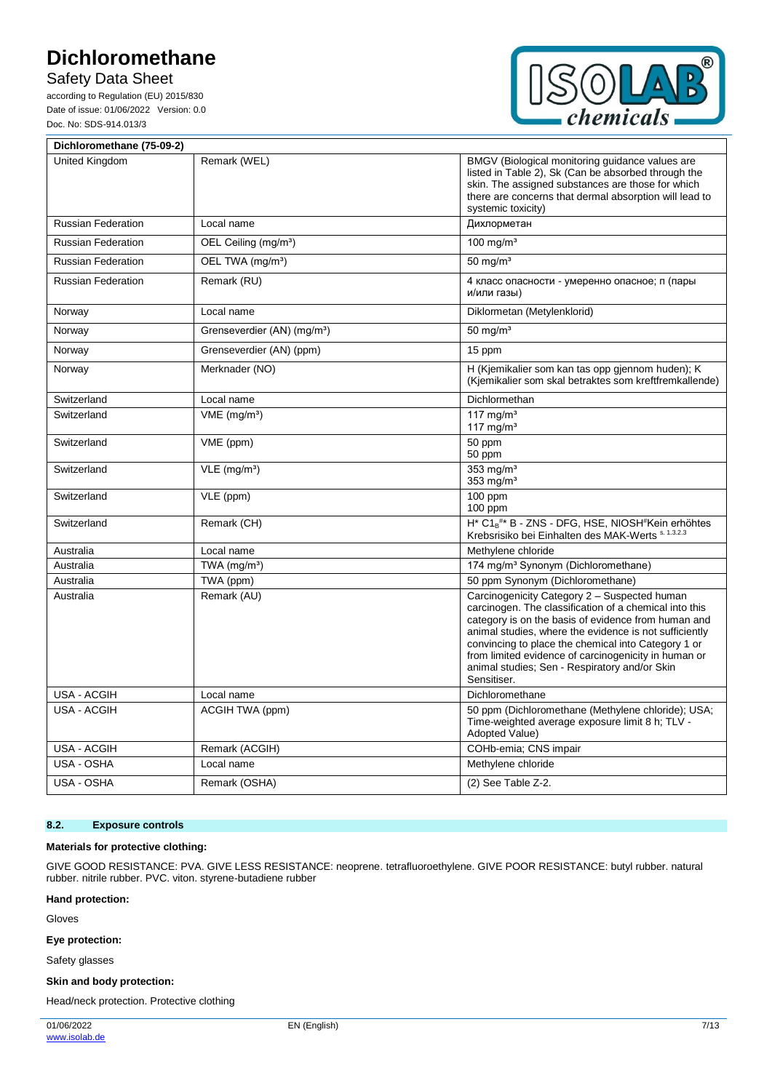Safety Data Sheet

according to Regulation (EU) 2015/830 Date of issue: 01/06/2022 Version: 0.0 Doc. No: SDS-914.013/3



| Dichloromethane (75-09-2) |                                         |                                                                                                                                                                                                                                                                                                                                                                                                        |
|---------------------------|-----------------------------------------|--------------------------------------------------------------------------------------------------------------------------------------------------------------------------------------------------------------------------------------------------------------------------------------------------------------------------------------------------------------------------------------------------------|
| United Kingdom            | Remark (WEL)                            | BMGV (Biological monitoring guidance values are<br>listed in Table 2), Sk (Can be absorbed through the<br>skin. The assigned substances are those for which<br>there are concerns that dermal absorption will lead to<br>systemic toxicity)                                                                                                                                                            |
| <b>Russian Federation</b> | Local name                              | Дихлорметан                                                                                                                                                                                                                                                                                                                                                                                            |
| <b>Russian Federation</b> | OEL Ceiling (mg/m <sup>3</sup> )        | 100 mg/m <sup>3</sup>                                                                                                                                                                                                                                                                                                                                                                                  |
| <b>Russian Federation</b> | OEL TWA (mg/m <sup>3</sup> )            | $50 \text{ mg/m}^3$                                                                                                                                                                                                                                                                                                                                                                                    |
| <b>Russian Federation</b> | Remark (RU)                             | 4 класс опасности - умеренно опасное; п (пары<br>и/или газы)                                                                                                                                                                                                                                                                                                                                           |
| Norway                    | Local name                              | Diklormetan (Metylenklorid)                                                                                                                                                                                                                                                                                                                                                                            |
| Norway                    | Grenseverdier (AN) (mg/m <sup>3</sup> ) | $50 \text{ mg/m}^3$                                                                                                                                                                                                                                                                                                                                                                                    |
| Norway                    | Grenseverdier (AN) (ppm)                | 15 ppm                                                                                                                                                                                                                                                                                                                                                                                                 |
| Norway                    | Merknader (NO)                          | H (Kjemikalier som kan tas opp gjennom huden); K<br>(Kjemikalier som skal betraktes som kreftfremkallende)                                                                                                                                                                                                                                                                                             |
| Switzerland               | Local name                              | Dichlormethan                                                                                                                                                                                                                                                                                                                                                                                          |
| Switzerland               | $VME$ (mg/m <sup>3</sup> )              | 117 mg/ $m3$<br>117 mg/m <sup>3</sup>                                                                                                                                                                                                                                                                                                                                                                  |
| Switzerland               | VME (ppm)                               | 50 ppm<br>50 ppm                                                                                                                                                                                                                                                                                                                                                                                       |
| Switzerland               | $VLE$ (mg/m <sup>3</sup> )              | $353$ mg/m <sup>3</sup><br>353 $mg/m3$                                                                                                                                                                                                                                                                                                                                                                 |
| Switzerland               | $\overline{VLE}$ (ppm)                  | $100$ ppm<br>$100$ ppm                                                                                                                                                                                                                                                                                                                                                                                 |
| Switzerland               | Remark (CH)                             | $H^*$ C1 <sub>B</sub> <sup>#*</sup> B - ZNS - DFG, HSE, NIOSH <sup>#</sup> Kein erhöhtes<br>Krebsrisiko bei Einhalten des MAK-Werts s. 1.3.2.3                                                                                                                                                                                                                                                         |
| Australia                 | Local name                              | Methylene chloride                                                                                                                                                                                                                                                                                                                                                                                     |
| Australia                 | TWA (mg/m <sup>3</sup> )                | 174 mg/m <sup>3</sup> Synonym (Dichloromethane)                                                                                                                                                                                                                                                                                                                                                        |
| Australia                 | TWA (ppm)                               | 50 ppm Synonym (Dichloromethane)                                                                                                                                                                                                                                                                                                                                                                       |
| Australia                 | Remark (AU)                             | Carcinogenicity Category 2 - Suspected human<br>carcinogen. The classification of a chemical into this<br>category is on the basis of evidence from human and<br>animal studies, where the evidence is not sufficiently<br>convincing to place the chemical into Category 1 or<br>from limited evidence of carcinogenicity in human or<br>animal studies; Sen - Respiratory and/or Skin<br>Sensitiser. |
| <b>USA - ACGIH</b>        | Local name                              | Dichloromethane                                                                                                                                                                                                                                                                                                                                                                                        |
| <b>USA - ACGIH</b>        | ACGIH TWA (ppm)                         | 50 ppm (Dichloromethane (Methylene chloride); USA;<br>Time-weighted average exposure limit 8 h; TLV -<br>Adopted Value)                                                                                                                                                                                                                                                                                |
| USA - ACGIH               | Remark (ACGIH)                          | COHb-emia; CNS impair                                                                                                                                                                                                                                                                                                                                                                                  |
| USA - OSHA                | Local name                              | Methylene chloride                                                                                                                                                                                                                                                                                                                                                                                     |
| USA - OSHA                | Remark (OSHA)                           | (2) See Table Z-2.                                                                                                                                                                                                                                                                                                                                                                                     |

#### **8.2. Exposure controls**

#### **Materials for protective clothing:**

GIVE GOOD RESISTANCE: PVA. GIVE LESS RESISTANCE: neoprene. tetrafluoroethylene. GIVE POOR RESISTANCE: butyl rubber. natural rubber. nitrile rubber. PVC. viton. styrene-butadiene rubber

### **Hand protection:**

Gloves

#### **Eye protection:**

Safety glasses

#### **Skin and body protection:**

Head/neck protection. Protective clothing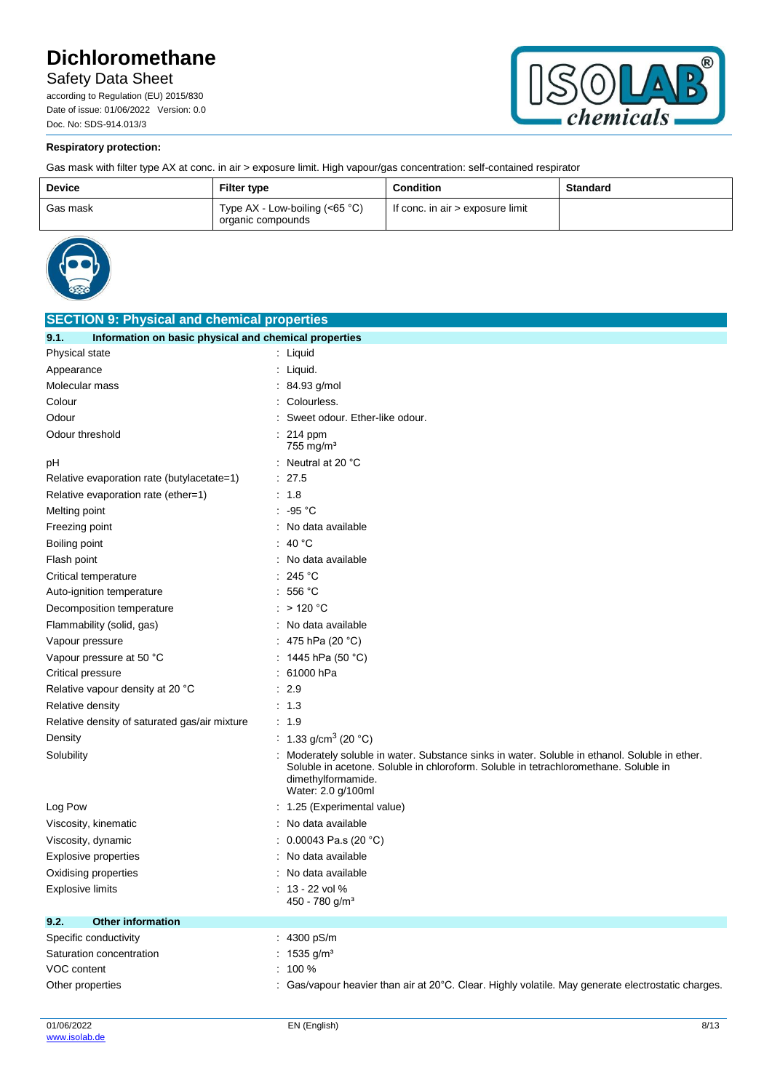Safety Data Sheet

according to Regulation (EU) 2015/830 Date of issue: 01/06/2022 Version: 0.0 Doc. No: SDS-914.013/3



## **Respiratory protection:**

Gas mask with filter type AX at conc. in air > exposure limit. High vapour/gas concentration: self-contained respirator

| <b>Device</b> | <b>Filter type</b>                                    | <b>Condition</b>                 | <b>Standard</b> |
|---------------|-------------------------------------------------------|----------------------------------|-----------------|
| Gas mask      | Type $AX - Low-boiling (<65 °C)$<br>organic compounds | If conc. in air > exposure limit |                 |



| <b>SECTION 9: Physical and chemical properties</b>            |                                                                                                                                                                                                                                  |  |  |  |
|---------------------------------------------------------------|----------------------------------------------------------------------------------------------------------------------------------------------------------------------------------------------------------------------------------|--|--|--|
| Information on basic physical and chemical properties<br>9.1. |                                                                                                                                                                                                                                  |  |  |  |
| Physical state                                                | : Liquid                                                                                                                                                                                                                         |  |  |  |
| Appearance                                                    | : Liquid.                                                                                                                                                                                                                        |  |  |  |
| Molecular mass                                                | $: 84.93$ g/mol                                                                                                                                                                                                                  |  |  |  |
| Colour                                                        | Colourless.                                                                                                                                                                                                                      |  |  |  |
| Odour                                                         | Sweet odour. Ether-like odour.                                                                                                                                                                                                   |  |  |  |
| Odour threshold                                               | 214 ppm<br>755 mg/m <sup>3</sup>                                                                                                                                                                                                 |  |  |  |
| рH                                                            | : Neutral at 20 $^{\circ}$ C                                                                                                                                                                                                     |  |  |  |
| Relative evaporation rate (butylacetate=1)                    | : 27.5                                                                                                                                                                                                                           |  |  |  |
| Relative evaporation rate (ether=1)                           | : 1.8                                                                                                                                                                                                                            |  |  |  |
| Melting point                                                 | $: -95 °C$                                                                                                                                                                                                                       |  |  |  |
| Freezing point                                                | : No data available                                                                                                                                                                                                              |  |  |  |
| Boiling point                                                 | : 40 °C                                                                                                                                                                                                                          |  |  |  |
| Flash point                                                   | : No data available                                                                                                                                                                                                              |  |  |  |
| Critical temperature                                          | 245 $^{\circ}$ C                                                                                                                                                                                                                 |  |  |  |
| Auto-ignition temperature                                     | 556 °C<br>÷                                                                                                                                                                                                                      |  |  |  |
| Decomposition temperature                                     | $:$ > 120 °C                                                                                                                                                                                                                     |  |  |  |
| Flammability (solid, gas)                                     | : No data available                                                                                                                                                                                                              |  |  |  |
| Vapour pressure                                               | : 475 hPa (20 °C)                                                                                                                                                                                                                |  |  |  |
| Vapour pressure at 50 °C                                      | : 1445 hPa (50 °C)                                                                                                                                                                                                               |  |  |  |
| Critical pressure                                             | 61000 hPa                                                                                                                                                                                                                        |  |  |  |
| Relative vapour density at 20 °C                              | : 2.9                                                                                                                                                                                                                            |  |  |  |
| Relative density                                              | : 1.3                                                                                                                                                                                                                            |  |  |  |
| Relative density of saturated gas/air mixture                 | : 1.9                                                                                                                                                                                                                            |  |  |  |
| Density                                                       | : 1.33 g/cm <sup>3</sup> (20 °C)                                                                                                                                                                                                 |  |  |  |
| Solubility                                                    | Moderately soluble in water. Substance sinks in water. Soluble in ethanol. Soluble in ether.<br>Soluble in acetone. Soluble in chloroform. Soluble in tetrachloromethane. Soluble in<br>dimethylformamide.<br>Water: 2.0 g/100ml |  |  |  |
| Log Pow                                                       | : 1.25 (Experimental value)                                                                                                                                                                                                      |  |  |  |
| Viscosity, kinematic                                          | : No data available                                                                                                                                                                                                              |  |  |  |
| Viscosity, dynamic                                            | : 0.00043 Pa.s (20 °C)                                                                                                                                                                                                           |  |  |  |
| <b>Explosive properties</b>                                   | : No data available                                                                                                                                                                                                              |  |  |  |
| Oxidising properties                                          | : No data available                                                                                                                                                                                                              |  |  |  |
| Explosive limits                                              | $: 13 - 22$ vol %                                                                                                                                                                                                                |  |  |  |
|                                                               | 450 - 780 g/m <sup>3</sup>                                                                                                                                                                                                       |  |  |  |
| 9.2.<br><b>Other information</b>                              |                                                                                                                                                                                                                                  |  |  |  |
| Specific conductivity                                         | : 4300 pS/m                                                                                                                                                                                                                      |  |  |  |
| Saturation concentration                                      | : $1535$ g/m <sup>3</sup>                                                                                                                                                                                                        |  |  |  |
| VOC content                                                   | $: 100 \%$                                                                                                                                                                                                                       |  |  |  |
| Other properties                                              | : Gas/vapour heavier than air at $20^{\circ}$ C. Clear. Highly volatile. May generate electrostatic charges.                                                                                                                     |  |  |  |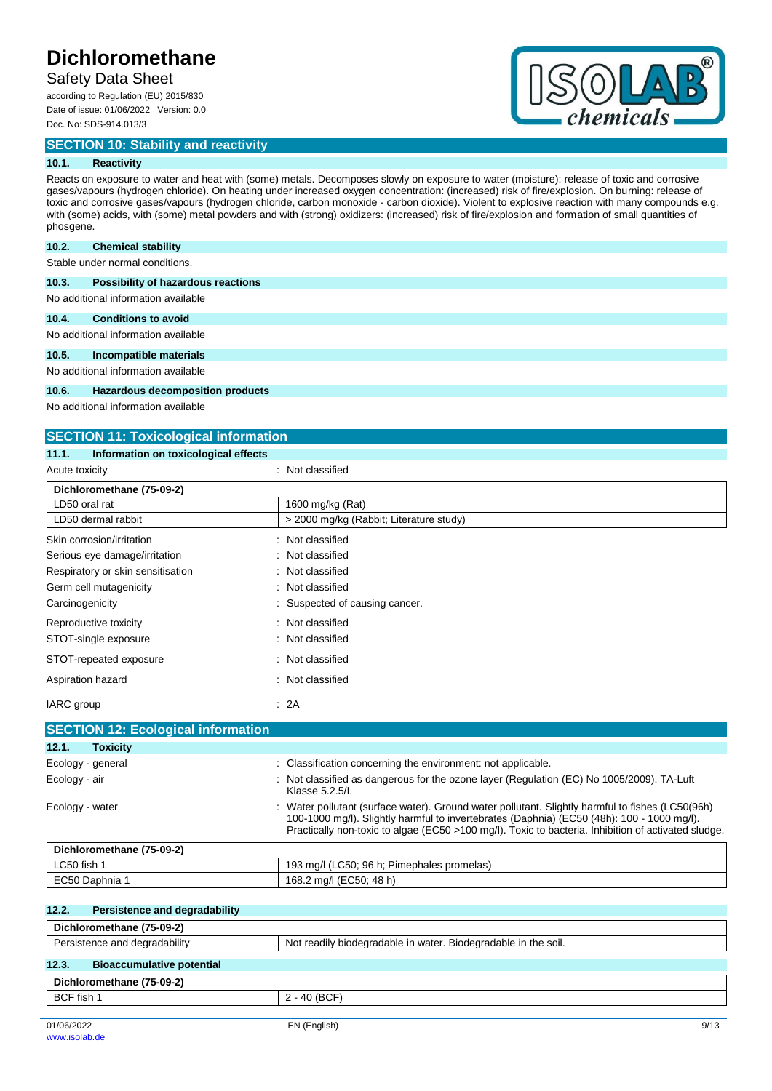## Safety Data Sheet

according to Regulation (EU) 2015/830 Date of issue: 01/06/2022 Version: 0.0 Doc. No: SDS-914.013/3

**SECTION 10: Stability and reactivity**



### **10.1. Reactivity**

Reacts on exposure to water and heat with (some) metals. Decomposes slowly on exposure to water (moisture): release of toxic and corrosive gases/vapours (hydrogen chloride). On heating under increased oxygen concentration: (increased) risk of fire/explosion. On burning: release of toxic and corrosive gases/vapours (hydrogen chloride, carbon monoxide - carbon dioxide). Violent to explosive reaction with many compounds e.g. with (some) acids, with (some) metal powders and with (strong) oxidizers: (increased) risk of fire/explosion and formation of small quantities of phosgene.

#### **10.2. Chemical stability**

Stable under normal conditions.

| Possibility of hazardous reactions<br>10.3. |  |
|---------------------------------------------|--|
|---------------------------------------------|--|

No additional information available

#### **10.4. Conditions to avoid**

No additional information available

#### **10.5. Incompatible materials**

No additional information available

#### **10.6. Hazardous decomposition products**

No additional information available

### **SECTION 11: Toxicological information**

### **11.1. Information on toxicological effects**

| Acute toxicity                                | : Not classified                                                                                                                                                                                                                                                                                    |
|-----------------------------------------------|-----------------------------------------------------------------------------------------------------------------------------------------------------------------------------------------------------------------------------------------------------------------------------------------------------|
| Dichloromethane (75-09-2)                     |                                                                                                                                                                                                                                                                                                     |
| LD50 oral rat                                 | 1600 mg/kg (Rat)                                                                                                                                                                                                                                                                                    |
| LD50 dermal rabbit                            | > 2000 mg/kg (Rabbit; Literature study)                                                                                                                                                                                                                                                             |
| Skin corrosion/irritation                     | Not classified                                                                                                                                                                                                                                                                                      |
| Serious eye damage/irritation                 | Not classified                                                                                                                                                                                                                                                                                      |
| Respiratory or skin sensitisation             | Not classified                                                                                                                                                                                                                                                                                      |
| Germ cell mutagenicity                        | Not classified                                                                                                                                                                                                                                                                                      |
| Carcinogenicity                               | Suspected of causing cancer.                                                                                                                                                                                                                                                                        |
| Reproductive toxicity                         | Not classified                                                                                                                                                                                                                                                                                      |
| STOT-single exposure                          | Not classified                                                                                                                                                                                                                                                                                      |
| STOT-repeated exposure                        | Not classified                                                                                                                                                                                                                                                                                      |
| Aspiration hazard                             | Not classified                                                                                                                                                                                                                                                                                      |
| IARC group                                    | : 2A                                                                                                                                                                                                                                                                                                |
| <b>SECTION 12: Ecological information</b>     |                                                                                                                                                                                                                                                                                                     |
| 12.1.<br><b>Toxicity</b>                      |                                                                                                                                                                                                                                                                                                     |
| Ecology - general                             | Classification concerning the environment: not applicable.                                                                                                                                                                                                                                          |
| Ecology - air                                 | Not classified as dangerous for the ozone layer (Regulation (EC) No 1005/2009). TA-Luft<br>Klasse 5.2.5/l.                                                                                                                                                                                          |
| Ecology - water                               | Water pollutant (surface water). Ground water pollutant. Slightly harmful to fishes (LC50(96h)<br>100-1000 mg/l). Slightly harmful to invertebrates (Daphnia) (EC50 (48h): 100 - 1000 mg/l).<br>Practically non-toxic to algae (EC50 >100 mg/l). Toxic to bacteria. Inhibition of activated sludge. |
| Dichloromethane (75-09-2)                     |                                                                                                                                                                                                                                                                                                     |
| LC50 fish 1                                   | 193 mg/l (LC50; 96 h; Pimephales promelas)                                                                                                                                                                                                                                                          |
| EC50 Daphnia 1                                | 168.2 mg/l (EC50; 48 h)                                                                                                                                                                                                                                                                             |
| <b>Persistence and degradability</b><br>12.2. |                                                                                                                                                                                                                                                                                                     |

# **Dichloromethane (75-09-2)** Persistence and degradability Not readily biodegradable in water. Biodegradable in the soil. **12.3. Bioaccumulative potential Dichloromethane (75-09-2)** BCF fish 1 2 - 40 (BCF)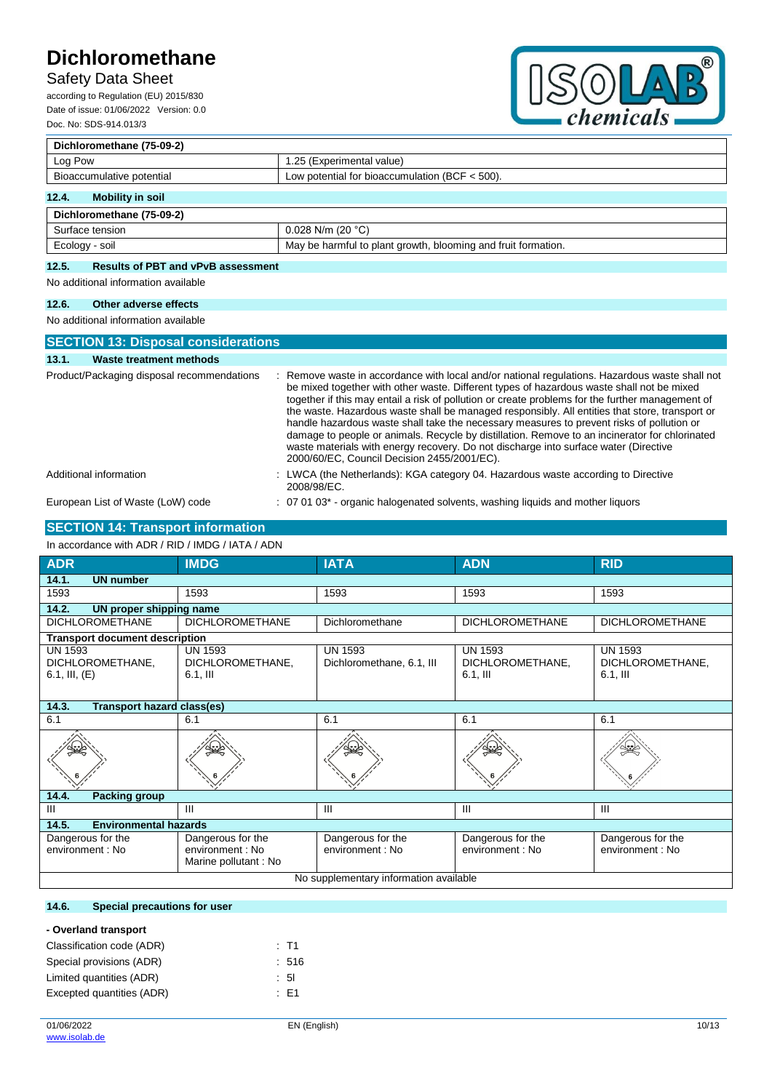# Safety Data Sheet

according to Regulation (EU) 2015/830 Date of issue: 01/06/2022 Version: 0.0 Doc. No: SDS-914.013/3



| Dichloromethane (75-09-2) |                                                               |  |  |
|---------------------------|---------------------------------------------------------------|--|--|
| Log Pow                   | 1.25 (Experimental value)                                     |  |  |
| Bioaccumulative potential | Low potential for bioaccumulation (BCF $<$ 500).              |  |  |
| 12.4.<br>Mobility in soil |                                                               |  |  |
| Dichloromethane (75-09-2) |                                                               |  |  |
| Surface tension           | 0.028 N/m (20 $^{\circ}$ C)                                   |  |  |
| Ecology - soil            | May be harmful to plant growth, blooming and fruit formation. |  |  |

### **12.5. Results of PBT and vPvB assessment**

No additional information available

### **12.6. Other adverse effects**

No additional information available

| <b>SECTION 13: Disposal considerations</b> |                                                                                                                                                                                                                                                                                                                                                                                                                                                                                                                                                                                                                                                                                                                                         |
|--------------------------------------------|-----------------------------------------------------------------------------------------------------------------------------------------------------------------------------------------------------------------------------------------------------------------------------------------------------------------------------------------------------------------------------------------------------------------------------------------------------------------------------------------------------------------------------------------------------------------------------------------------------------------------------------------------------------------------------------------------------------------------------------------|
| 13.1.<br>Waste treatment methods           |                                                                                                                                                                                                                                                                                                                                                                                                                                                                                                                                                                                                                                                                                                                                         |
| Product/Packaging disposal recommendations | : Remove waste in accordance with local and/or national regulations. Hazardous waste shall not<br>be mixed together with other waste. Different types of hazardous waste shall not be mixed<br>together if this may entail a risk of pollution or create problems for the further management of<br>the waste. Hazardous waste shall be managed responsibly. All entities that store, transport or<br>handle hazardous waste shall take the necessary measures to prevent risks of pollution or<br>damage to people or animals. Recycle by distillation. Remove to an incinerator for chlorinated<br>waste materials with energy recovery. Do not discharge into surface water (Directive<br>2000/60/EC, Council Decision 2455/2001/EC). |
| Additional information                     | : LWCA (the Netherlands): KGA category 04. Hazardous waste according to Directive<br>2008/98/EC.                                                                                                                                                                                                                                                                                                                                                                                                                                                                                                                                                                                                                                        |
| European List of Waste (LoW) code          | : 07 01 03 <sup>*</sup> - organic halogenated solvents, washing liquids and mother liquors                                                                                                                                                                                                                                                                                                                                                                                                                                                                                                                                                                                                                                              |

# **SECTION 14: Transport information**

| <b>ADR</b>                                            | <b>IMDG</b>                                                   | <b>IATA</b>                                 | <b>ADN</b>                                       | <b>RID</b>                                        |  |
|-------------------------------------------------------|---------------------------------------------------------------|---------------------------------------------|--------------------------------------------------|---------------------------------------------------|--|
| 14.1.<br><b>UN number</b>                             |                                                               |                                             |                                                  |                                                   |  |
| 1593                                                  | 1593                                                          | 1593                                        | 1593                                             | 1593                                              |  |
| 14.2.<br>UN proper shipping name                      |                                                               |                                             |                                                  |                                                   |  |
| <b>DICHLOROMETHANE</b>                                | <b>DICHLOROMETHANE</b>                                        | Dichloromethane                             | <b>DICHLOROMETHANE</b>                           | <b>DICHLOROMETHANE</b>                            |  |
| <b>Transport document description</b>                 |                                                               |                                             |                                                  |                                                   |  |
| <b>UN 1593</b><br>DICHLOROMETHANE,<br>6.1, III, $(E)$ | <b>UN 1593</b><br>DICHLOROMETHANE,<br>$6.1,$ III              | <b>UN 1593</b><br>Dichloromethane, 6.1, III | <b>UN 1593</b><br>DICHLOROMETHANE,<br>$6.1,$ III | <b>UN 1593</b><br>DICHLOROMETHANE,<br>$6.1$ , III |  |
| 14.3.<br><b>Transport hazard class(es)</b>            |                                                               |                                             |                                                  |                                                   |  |
| 6.1                                                   | 6.1                                                           | 6.1                                         | 6.1                                              | 6.1                                               |  |
|                                                       |                                                               |                                             |                                                  |                                                   |  |
| 14.4.<br><b>Packing group</b>                         |                                                               |                                             |                                                  |                                                   |  |
| Ш                                                     | Ш                                                             | III                                         | III                                              | $\mathbf{III}$                                    |  |
| 14.5.<br><b>Environmental hazards</b>                 |                                                               |                                             |                                                  |                                                   |  |
| Dangerous for the<br>environment : No                 | Dangerous for the<br>environment : No<br>Marine pollutant: No | Dangerous for the<br>environment : No       | Dangerous for the<br>environment : No            | Dangerous for the<br>environment : No             |  |
| No supplementary information available                |                                                               |                                             |                                                  |                                                   |  |

## **14.6. Special precautions for user**

| - Overland transport      |       |
|---------------------------|-------|
| Classification code (ADR) | : T1  |
| Special provisions (ADR)  | : 516 |
| Limited quantities (ADR)  | : 51  |
| Excepted quantities (ADR) | : F1  |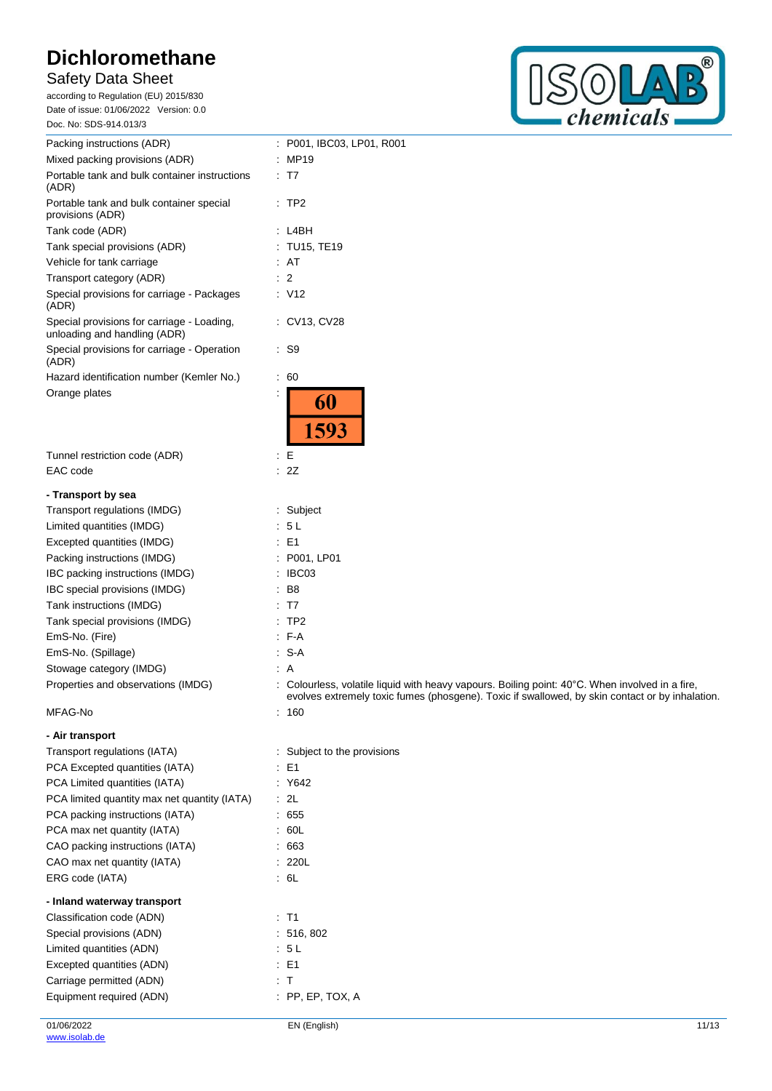# Safety Data Sheet

according to Regulation (EU) 2015/830 Date of issue: 01/06/2022 Version: 0.0 Doc. No: SDS-914.013/3



| Packing instructions (ADR)                                                 | : P001, IBC03, LP01, R001                                                                                                                                                                        |
|----------------------------------------------------------------------------|--------------------------------------------------------------------------------------------------------------------------------------------------------------------------------------------------|
| Mixed packing provisions (ADR)                                             | : MP19                                                                                                                                                                                           |
| Portable tank and bulk container instructions<br>(ADR)                     | : T7                                                                                                                                                                                             |
| Portable tank and bulk container special<br>provisions (ADR)               | $:$ TP2                                                                                                                                                                                          |
| Tank code (ADR)                                                            | : L4BH                                                                                                                                                                                           |
| Tank special provisions (ADR)                                              | : TU15, TE19                                                                                                                                                                                     |
| Vehicle for tank carriage                                                  | : AT                                                                                                                                                                                             |
| Transport category (ADR)                                                   | $\therefore$ 2                                                                                                                                                                                   |
| Special provisions for carriage - Packages<br>(ADR)                        | $\therefore$ V12                                                                                                                                                                                 |
| Special provisions for carriage - Loading,<br>unloading and handling (ADR) | : CV13, CV28                                                                                                                                                                                     |
| Special provisions for carriage - Operation<br>(ADR)                       | $\cdot$ S9                                                                                                                                                                                       |
| Hazard identification number (Kemler No.)                                  | 60<br>÷.                                                                                                                                                                                         |
| Orange plates                                                              | 60<br>1593                                                                                                                                                                                       |
| Tunnel restriction code (ADR)                                              | E<br>÷                                                                                                                                                                                           |
| EAC code                                                                   | 2Z<br>÷                                                                                                                                                                                          |
| - Transport by sea                                                         |                                                                                                                                                                                                  |
| Transport regulations (IMDG)                                               | : Subject                                                                                                                                                                                        |
| Limited quantities (IMDG)                                                  | 5L                                                                                                                                                                                               |
| Excepted quantities (IMDG)                                                 | $\therefore$ E1                                                                                                                                                                                  |
| Packing instructions (IMDG)                                                | : P001, LP01                                                                                                                                                                                     |
| IBC packing instructions (IMDG)                                            | : IBC03                                                                                                                                                                                          |
| IBC special provisions (IMDG)                                              | B8                                                                                                                                                                                               |
| Tank instructions (IMDG)                                                   | : T7                                                                                                                                                                                             |
| Tank special provisions (IMDG)                                             | TP <sub>2</sub>                                                                                                                                                                                  |
| EmS-No. (Fire)                                                             | $F-A$                                                                                                                                                                                            |
| EmS-No. (Spillage)                                                         | $S-A$                                                                                                                                                                                            |
| Stowage category (IMDG)                                                    | : A                                                                                                                                                                                              |
| Properties and observations (IMDG)                                         | Colourless, volatile liquid with heavy vapours. Boiling point: 40°C. When involved in a fire,<br>evolves extremely toxic fumes (phosgene). Toxic if swallowed, by skin contact or by inhalation. |
| MFAG-No                                                                    | : 160                                                                                                                                                                                            |
| - Air transport                                                            |                                                                                                                                                                                                  |
| Transport regulations (IATA)                                               | : Subject to the provisions                                                                                                                                                                      |
| PCA Excepted quantities (IATA)                                             | $\therefore$ E1                                                                                                                                                                                  |
| PCA Limited quantities (IATA)                                              | : Y642                                                                                                                                                                                           |
| PCA limited quantity max net quantity (IATA)                               | : 2L                                                                                                                                                                                             |
| PCA packing instructions (IATA)                                            | : 655                                                                                                                                                                                            |
| PCA max net quantity (IATA)                                                | : 60L                                                                                                                                                                                            |
| CAO packing instructions (IATA)                                            | .663                                                                                                                                                                                             |
| CAO max net quantity (IATA)                                                | : 220L                                                                                                                                                                                           |
| ERG code (IATA)                                                            | : 6L                                                                                                                                                                                             |
|                                                                            |                                                                                                                                                                                                  |
| - Inland waterway transport<br>Classification code (ADN)                   | $\therefore$ T1                                                                                                                                                                                  |
| Special provisions (ADN)                                                   | : 516, 802                                                                                                                                                                                       |
| Limited quantities (ADN)                                                   | : 5L                                                                                                                                                                                             |
| Excepted quantities (ADN)                                                  | $\therefore$ E1                                                                                                                                                                                  |
| Carriage permitted (ADN)                                                   | $\pm$ T                                                                                                                                                                                          |
| Equipment required (ADN)                                                   | $:$ PP, EP, TOX, A                                                                                                                                                                               |
|                                                                            |                                                                                                                                                                                                  |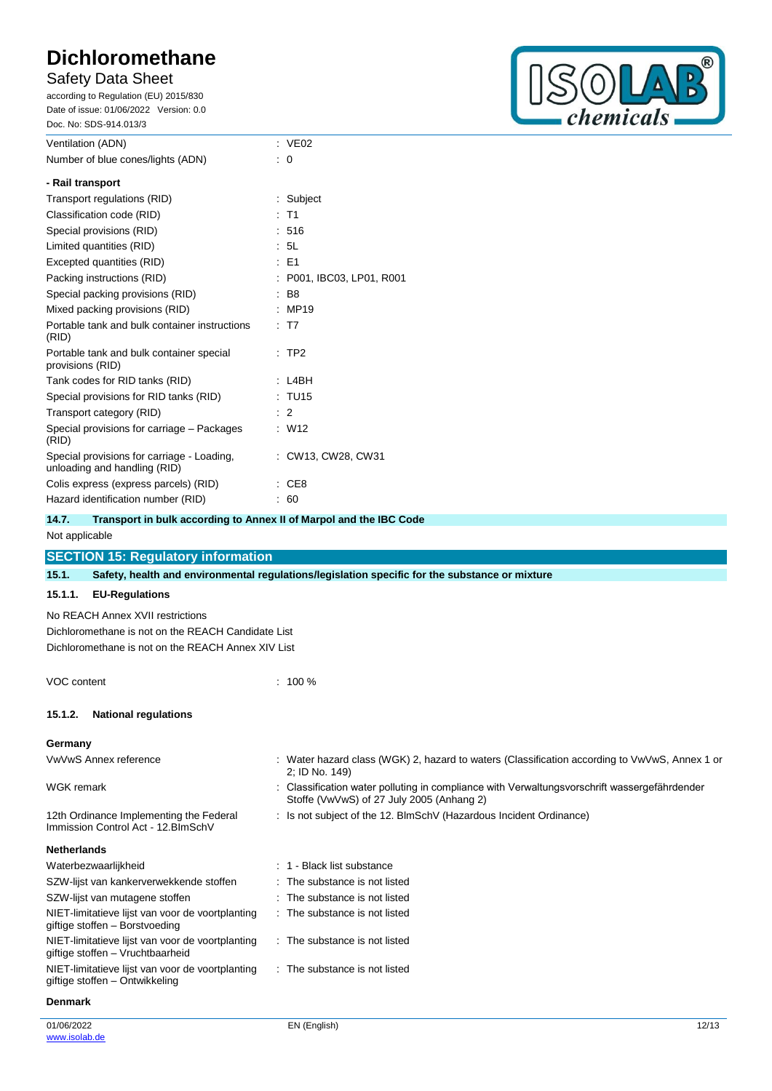# Safety Data Sheet

according to Regulation (EU) 2015/830 Date of issue: 01/06/2022 Version: 0.0 Doc. No: SDS-914.013/3



| Ventilation (ADN)                                                          | $\therefore$ VE02       |
|----------------------------------------------------------------------------|-------------------------|
| Number of blue cones/lights (ADN)                                          | : 0                     |
| - Rail transport                                                           |                         |
| Transport regulations (RID)                                                | : Subject               |
| Classification code (RID)                                                  | $:$ T1                  |
| Special provisions (RID)                                                   | : 516                   |
| Limited quantities (RID)                                                   | : 5L                    |
| Excepted quantities (RID)                                                  | : E1                    |
| Packing instructions (RID)                                                 | P001, IBC03, LP01, R001 |
| Special packing provisions (RID)                                           | <b>B8</b>               |
| Mixed packing provisions (RID)                                             | :MP19                   |
| Portable tank and bulk container instructions<br>(RID)                     | : T7                    |
| Portable tank and bulk container special<br>provisions (RID)               | $:$ TP2                 |
| Tank codes for RID tanks (RID)                                             | L4BH                    |
| Special provisions for RID tanks (RID)                                     | : TU15                  |
| Transport category (RID)                                                   | $\therefore$ 2          |
| Special provisions for carriage – Packages<br>(RID)                        | W12                     |
| Special provisions for carriage - Loading,<br>unloading and handling (RID) | : CW13, CW28, CW31      |
| Colis express (express parcels) (RID)                                      | CE8                     |
| Hazard identification number (RID)                                         | : 60                    |
|                                                                            |                         |

| 14.7. | Transport in bulk according to Annex II of Marpol and the IBC Code |
|-------|--------------------------------------------------------------------|
|       |                                                                    |

# Not applicable

# **SECTION 15: Regulatory information**

**15.1. Safety, health and environmental regulations/legislation specific for the substance or mixture**

## **15.1.1. EU-Regulations**

No REACH Annex XVII restrictions Dichloromethane is not on the REACH Candidate List Dichloromethane is not on the REACH Annex XIV List

VOC content : 100 %

## **15.1.2. National regulations**

**Germany**

| VwVwS Annex reference | Water hazard class (WGK) 2, hazard to waters (Classification according to VwVwS, Annex 1 or<br>2; ID No. 149)                             |
|-----------------------|-------------------------------------------------------------------------------------------------------------------------------------------|
| WGK remark            | : Classification water polluting in compliance with Verwaltungsvorschrift wassergefährdender<br>Stoffe (VwVwS) of 27 July 2005 (Anhang 2) |

: Is not subject of the 12. BlmSchV (Hazardous Incident Ordinance)

12th Ordinance Implementing the Federal Immission Control Act - 12.BImSchV

#### **Netherlands**

| Waterbezwaarlijkheid                                                                 | : 1 - Black list substance    |
|--------------------------------------------------------------------------------------|-------------------------------|
| SZW-lijst van kankerverwekkende stoffen                                              | : The substance is not listed |
| SZW-lijst van mutagene stoffen                                                       | : The substance is not listed |
| NIET-limitatieve lijst van voor de voortplanting<br>giftige stoffen – Borstvoeding   | : The substance is not listed |
| NIET-limitatieve lijst van voor de voortplanting<br>giftige stoffen - Vruchtbaarheid | : The substance is not listed |
| NIET-limitatieve lijst van voor de voortplanting<br>giftige stoffen – Ontwikkeling   | : The substance is not listed |

#### **Denmark**